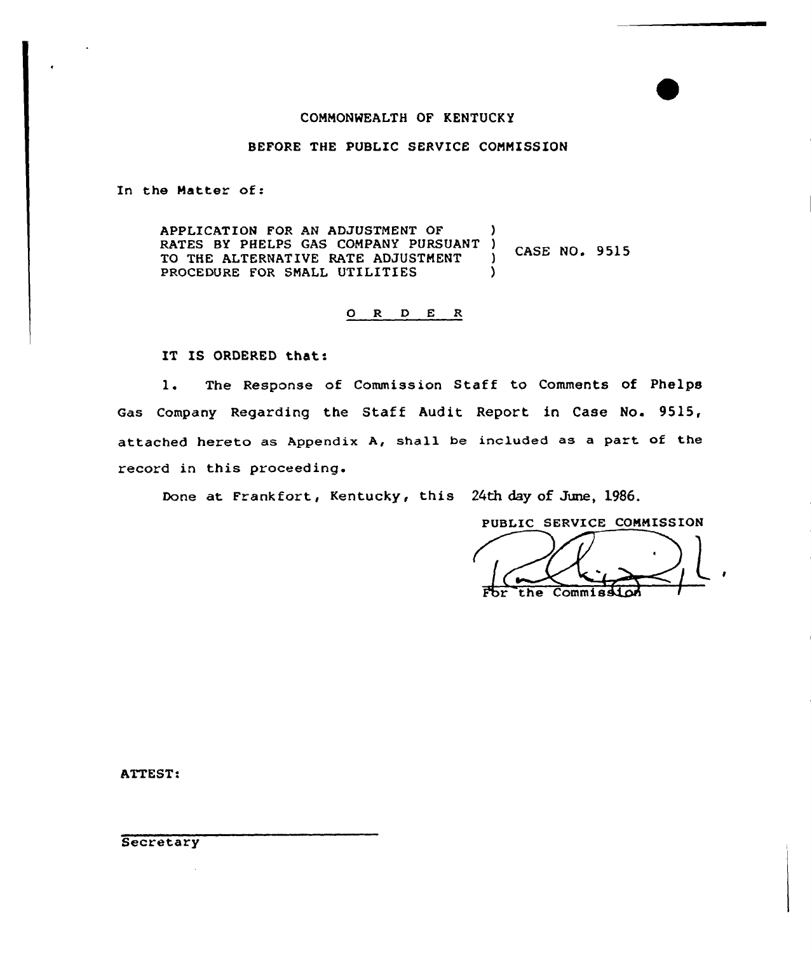### COMMONWEALTH GF KENTUCKY

## BEFORE THE PUBLIC SERVICE COMMISSION

In the Matter of:

APPLICATION FOR AN ADJUSTMENT OF RATES BY PHELPS GAS COMPANY PURSUANT )<br>TO THE ALTERNATIVE RATE ADJUSTMENT ) CASE NO. 9515 TO THE ALTERNATIVE RATE ADJUSTMENT PROCEDURE FOR SMALL UTILITIES

# 0 R <sup>D</sup> E R

IT IS ORDERED that:

1. The Response of Commission Staff to Comments of Phelps Gas Company Regarding the Staff Audit Report in Case No. 9S15, attached hereto as Appendix A, shall be included as a part of the record in this proceeding.

Done at Frankfort, Kentucky, this 24th day of June, 1986.

PUBLIC SERVICE COMMISSION the Commiss

ATTEST!

**Secretary**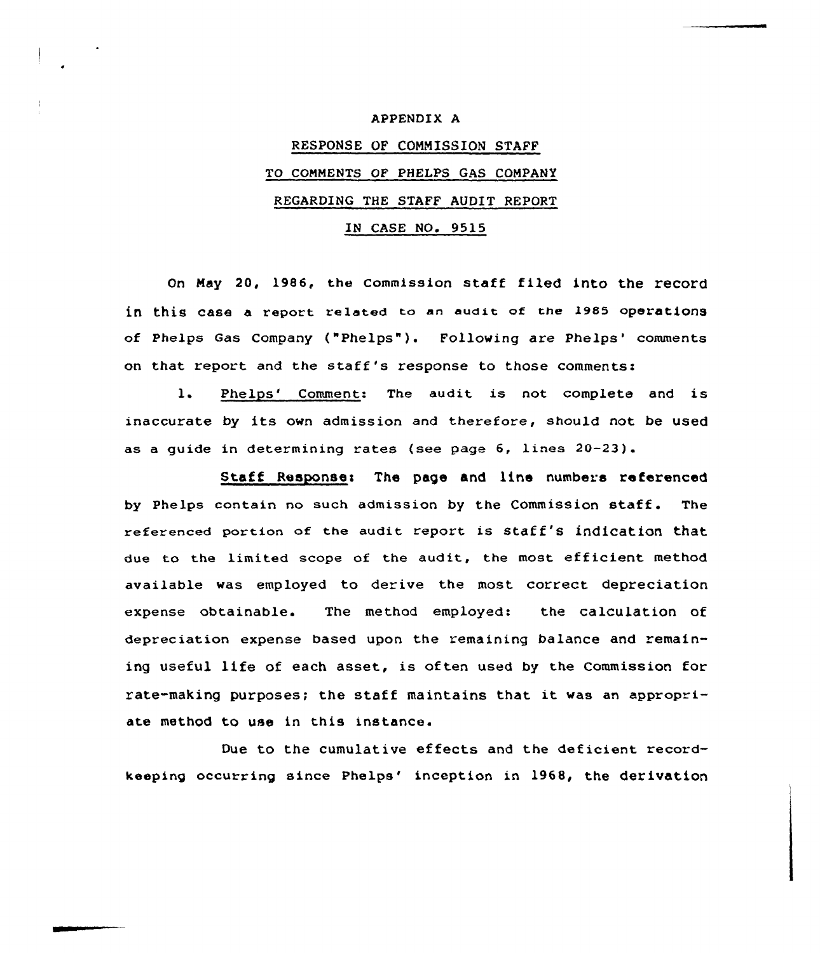### APPENDIX A

# RESPONSE OF COMMISSION STAFF TO COMMENTS OF PHELPS GAS COMPANY REGARDING THE STAFF AUDIT REPORT IN CASE NO. 9515

On May 20, 1986, the Commission staff filed into the record in this case a report related to an audit of the 1985 operations of Phelps Gas Company ("Phelps" ). Following are Phelps'omments

on that report and the staff's response to those comments:

1. Phelps' Comment: The audit is not complete and is inaccurate by its own admission and therefore, should not be used as a guide in determining rates (see page 6, Lines 20-23).

Staff Response: The page and line numbers referenced by Phelps contain no such admission by the Commission staff. The referenced portion of the audit report is staff's indication that due to the limited scope of the audit, the most efficient method available was employed to derive the most correct depreciation expense obtainable. The method employed: the calculation of depreciation expense based upon the remaining balance and remaining useful life of each asset, is often used by the Commission for rate-making purposes; the staff maintains that it was an appropriate method to use in this instance.

Due to the cumulative effects and the deficient recordkeeping occurring since Phelps' inception in 1968, the derivation